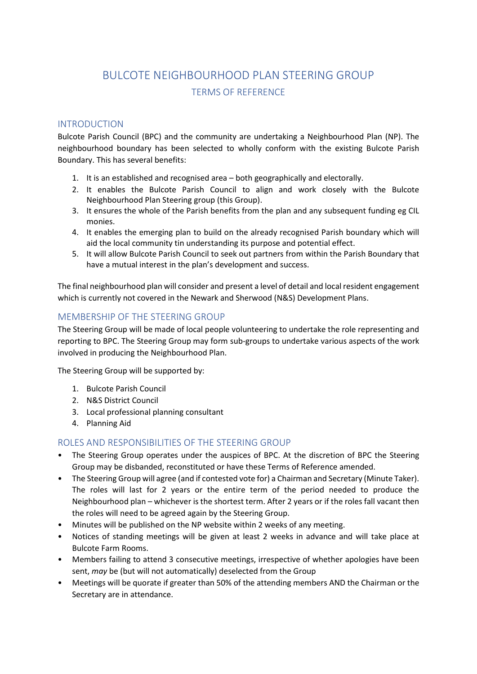# BULCOTE NEIGHBOURHOOD PLAN STEERING GROUP TERMS OF REFERENCE

### INTRODUCTION

Bulcote Parish Council (BPC) and the community are undertaking a Neighbourhood Plan (NP). The neighbourhood boundary has been selected to wholly conform with the existing Bulcote Parish Boundary. This has several benefits:

- 1. It is an established and recognised area both geographically and electorally.
- 2. It enables the Bulcote Parish Council to align and work closely with the Bulcote Neighbourhood Plan Steering group (this Group).
- 3. It ensures the whole of the Parish benefits from the plan and any subsequent funding eg CIL monies.
- 4. It enables the emerging plan to build on the already recognised Parish boundary which will aid the local community tin understanding its purpose and potential effect.
- 5. It will allow Bulcote Parish Council to seek out partners from within the Parish Boundary that have a mutual interest in the plan's development and success.

The final neighbourhood plan will consider and present a level of detail and local resident engagement which is currently not covered in the Newark and Sherwood (N&S) Development Plans.

## MEMBERSHIP OF THE STEERING GROUP

The Steering Group will be made of local people volunteering to undertake the role representing and reporting to BPC. The Steering Group may form sub-groups to undertake various aspects of the work involved in producing the Neighbourhood Plan.

The Steering Group will be supported by:

- 1. Bulcote Parish Council
- 2. N&S District Council
- 3. Local professional planning consultant
- 4. Planning Aid

#### ROLES AND RESPONSIBILITIES OF THE STEERING GROUP

- The Steering Group operates under the auspices of BPC. At the discretion of BPC the Steering Group may be disbanded, reconstituted or have these Terms of Reference amended.
- The Steering Group will agree (and if contested vote for) a Chairman and Secretary (Minute Taker). The roles will last for 2 years or the entire term of the period needed to produce the Neighbourhood plan – whichever is the shortest term. After 2 years or if the roles fall vacant then the roles will need to be agreed again by the Steering Group.
- Minutes will be published on the NP website within 2 weeks of any meeting.
- Notices of standing meetings will be given at least 2 weeks in advance and will take place at Bulcote Farm Rooms.
- Members failing to attend 3 consecutive meetings, irrespective of whether apologies have been sent, may be (but will not automatically) deselected from the Group
- Meetings will be quorate if greater than 50% of the attending members AND the Chairman or the Secretary are in attendance.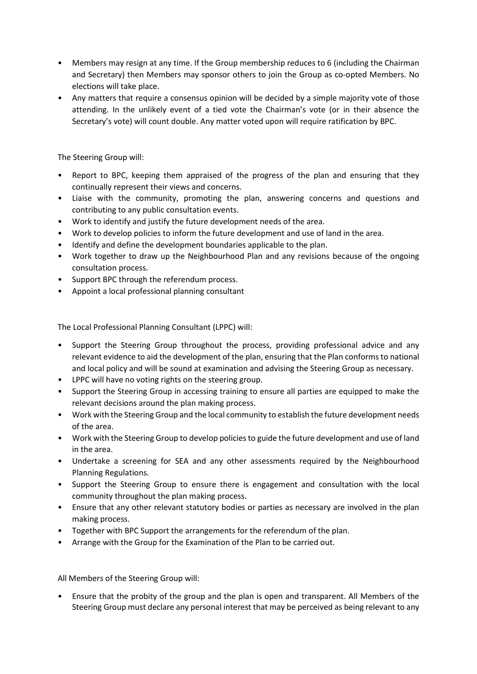- Members may resign at any time. If the Group membership reduces to 6 (including the Chairman and Secretary) then Members may sponsor others to join the Group as co-opted Members. No elections will take place.
- Any matters that require a consensus opinion will be decided by a simple majority vote of those attending. In the unlikely event of a tied vote the Chairman's vote (or in their absence the Secretary's vote) will count double. Any matter voted upon will require ratification by BPC.

The Steering Group will:

- Report to BPC, keeping them appraised of the progress of the plan and ensuring that they continually represent their views and concerns.
- Liaise with the community, promoting the plan, answering concerns and questions and contributing to any public consultation events.
- Work to identify and justify the future development needs of the area.
- Work to develop policies to inform the future development and use of land in the area.
- Identify and define the development boundaries applicable to the plan.
- Work together to draw up the Neighbourhood Plan and any revisions because of the ongoing consultation process.
- Support BPC through the referendum process.
- Appoint a local professional planning consultant

The Local Professional Planning Consultant (LPPC) will:

- Support the Steering Group throughout the process, providing professional advice and any relevant evidence to aid the development of the plan, ensuring that the Plan conforms to national and local policy and will be sound at examination and advising the Steering Group as necessary.
- LPPC will have no voting rights on the steering group.
- Support the Steering Group in accessing training to ensure all parties are equipped to make the relevant decisions around the plan making process.
- Work with the Steering Group and the local community to establish the future development needs of the area.
- Work with the Steering Group to develop policies to guide the future development and use of land in the area.
- Undertake a screening for SEA and any other assessments required by the Neighbourhood Planning Regulations.
- Support the Steering Group to ensure there is engagement and consultation with the local community throughout the plan making process.
- Ensure that any other relevant statutory bodies or parties as necessary are involved in the plan making process.
- Together with BPC Support the arrangements for the referendum of the plan.
- Arrange with the Group for the Examination of the Plan to be carried out.

All Members of the Steering Group will:

• Ensure that the probity of the group and the plan is open and transparent. All Members of the Steering Group must declare any personal interest that may be perceived as being relevant to any